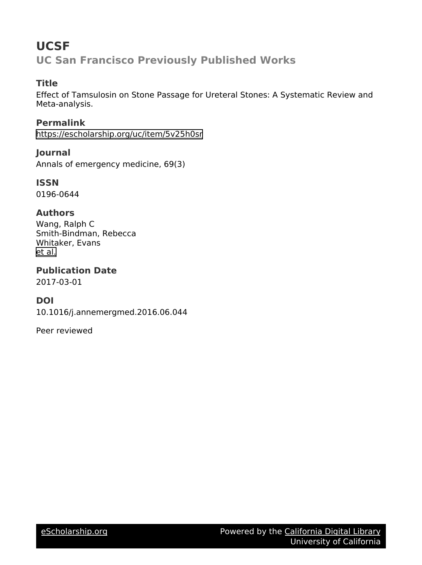# **UCSF UC San Francisco Previously Published Works**

# **Title**

Effect of Tamsulosin on Stone Passage for Ureteral Stones: A Systematic Review and Meta-analysis.

**Permalink** <https://escholarship.org/uc/item/5v25h0sr>

**Journal** Annals of emergency medicine, 69(3)

**ISSN** 0196-0644

# **Authors**

Wang, Ralph C Smith-Bindman, Rebecca Whitaker, Evans [et al.](https://escholarship.org/uc/item/5v25h0sr#author)

**Publication Date** 2017-03-01

# **DOI**

10.1016/j.annemergmed.2016.06.044

Peer reviewed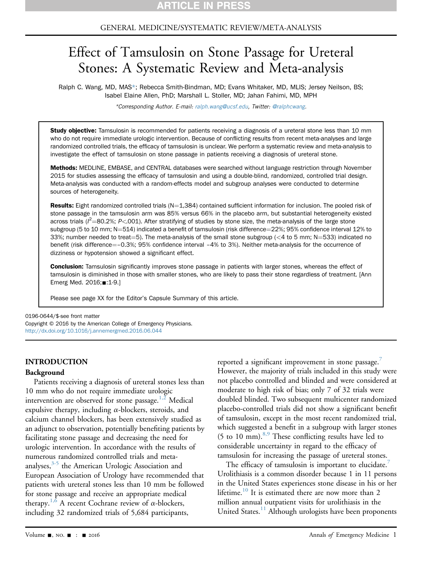### GENERAL MEDICINE/SYSTEMATIC REVIEW/META-ANALYSIS

# Effect of Tamsulosin on Stone Passage for Ureteral Stones: A Systematic Review and Meta-analysis

Ralph C. Wang, MD, MAS\*; Rebecca Smith-Bindman, MD; Evans Whitaker, MD, MLIS; Jersey Neilson, BS; Isabel Elaine Allen, PhD; Marshall L. Stoller, MD; Jahan Fahimi, MD, MPH

\*Corresponding Author. E-mail: [ralph.wang@ucsf.edu,](mailto:ralph.wang@ucsf.edu) Twitter: [@ralphcwang.](mailto:@ralphcwang)

Study objective: Tamsulosin is recommended for patients receiving a diagnosis of a ureteral stone less than 10 mm who do not require immediate urologic intervention. Because of conflicting results from recent meta-analyses and large randomized controlled trials, the efficacy of tamsulosin is unclear. We perform a systematic review and meta-analysis to investigate the effect of tamsulosin on stone passage in patients receiving a diagnosis of ureteral stone.

Methods: MEDLINE, EMBASE, and CENTRAL databases were searched without language restriction through November 2015 for studies assessing the efficacy of tamsulosin and using a double-blind, randomized, controlled trial design. Meta-analysis was conducted with a random-effects model and subgroup analyses were conducted to determine sources of heterogeneity.

Results: Eight randomized controlled trials ( $N=1,384$ ) contained sufficient information for inclusion. The pooled risk of stone passage in the tamsulosin arm was 85% versus 66% in the placebo arm, but substantial heterogeneity existed across trials ( $l^2$ =80.2%; P<.001). After stratifying of studies by stone size, the meta-analysis of the large stone subgroup (5 to 10 mm; N=514) indicated a benefit of tamsulosin (risk difference=22%; 95% confidence interval 12% to 33%; number needed to treat=5). The meta-analysis of the small stone subgroup ( $<$  4 to 5 mm; N=533) indicated no benefit (risk difference=–0.3%; 95% confidence interval –4% to 3%). Neither meta-analysis for the occurrence of dizziness or hypotension showed a significant effect.

**Conclusion:** Tamsulosin significantly improves stone passage in patients with larger stones, whereas the effect of tamsulosin is diminished in those with smaller stones, who are likely to pass their stone regardless of treatment. [Ann Emerg Med. 2016;■:1-9.]

Please see page XX for the Editor's Capsule Summary of this article.

0196-0644/\$-see front matter Copyright © 2016 by the American College of Emergency Physicians. <http://dx.doi.org/10.1016/j.annemergmed.2016.06.044>

#### INTRODUCTION

#### Background

Patients receiving a diagnosis of ureteral stones less than 10 mm who do not require immediate urologic intervention are observed for stone passage.<sup>1,2</sup> Medical expulsive therapy, including  $\alpha$ -blockers, steroids, and calcium channel blockers, has been extensively studied as an adjunct to observation, potentially benefiting patients by facilitating stone passage and decreasing the need for urologic intervention. In accordance with the results of numerous randomized controlled trials and metaanalyses, $3-5$  the American Urologic Association and European Association of Urology have recommended that patients with ureteral stones less than 10 mm be followed for stone passage and receive an appropriate medical therapy.<sup>1,6</sup> A recent Cochrane review of  $\alpha$ -blockers, including 32 randomized trials of 5,684 participants,

reported a significant improvement in stone passage. $^{7}$  $^{7}$  $^{7}$ However, the majority of trials included in this study were not placebo controlled and blinded and were considered at moderate to high risk of bias; only 7 of 32 trials were doubled blinded. Two subsequent multicenter randomized placebo-controlled trials did not show a significant benefit of tamsulosin, except in the most recent randomized trial, which suggested a benefit in a subgroup with larger stones (5 to 10 mm).  $8.9$  These conflicting results have led to considerable uncertainty in regard to the efficacy of tamsulosin for increasing the passage of ureteral stones.

The efficacy of tamsulosin is important to elucidate. Urolithiasis is a common disorder because 1 in 11 persons in the United States experiences stone disease in his or her lifetime.<sup>[10](#page-9-3)</sup> It is estimated there are now more than 2 million annual outpatient visits for urolithiasis in the United States.[11](#page-9-4) Although urologists have been proponents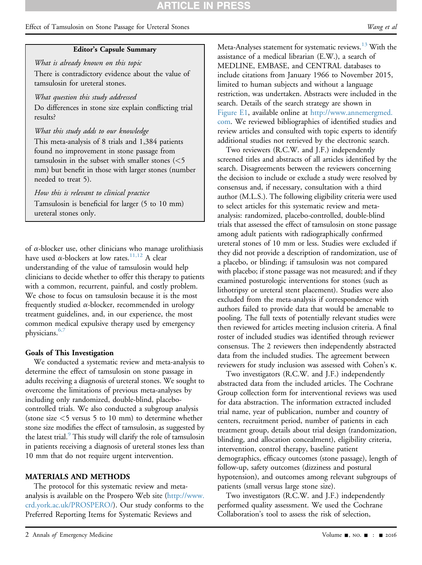# **ARTICLE IN PRES**

### Effect of Tamsulosin on Stone Passage for Ureteral Stones Wang et al. Wang et al.

### Editor's Capsule Summary

What is already known on this topic There is contradictory evidence about the value of tamsulosin for ureteral stones.

What question this study addressed

Do differences in stone size explain conflicting trial results?

What this study adds to our knowledge

This meta-analysis of 8 trials and 1,384 patients found no improvement in stone passage from tamsulosin in the subset with smaller stones (<5 mm) but benefit in those with larger stones (number needed to treat 5).

How this is relevant to clinical practice Tamsulosin is beneficial for larger (5 to 10 mm) ureteral stones only.

of  $\alpha$ -blocker use, other clinicians who manage urolithiasis have used  $\alpha$ -blockers at low rates.<sup>[11,12](#page-9-4)</sup> A clear understanding of the value of tamsulosin would help clinicians to decide whether to offer this therapy to patients with a common, recurrent, painful, and costly problem. We chose to focus on tamsulosin because it is the most frequently studied  $\alpha$ -blocker, recommended in urology treatment guidelines, and, in our experience, the most common medical expulsive therapy used by emergency physicians.<sup>6,7</sup>

#### Goals of This Investigation

We conducted a systematic review and meta-analysis to determine the effect of tamsulosin on stone passage in adults receiving a diagnosis of ureteral stones. We sought to overcome the limitations of previous meta-analyses by including only randomized, double-blind, placebocontrolled trials. We also conducted a subgroup analysis (stone size <5 versus 5 to 10 mm) to determine whether stone size modifies the effect of tamsulosin, as suggested by the latest trial.<sup>[9](#page-9-6)</sup> This study will clarify the role of tamsulosin in patients receiving a diagnosis of ureteral stones less than 10 mm that do not require urgent intervention.

#### MATERIALS AND METHODS

The protocol for this systematic review and metaanalysis is available on the Prospero Web site ([http://www.](http://www.crd.york.ac.uk/PROSPERO/) [crd.york.ac.uk/PROSPERO/\)](http://www.crd.york.ac.uk/PROSPERO/). Our study conforms to the Preferred Reporting Items for Systematic Reviews and

Meta-Analyses statement for systematic reviews.<sup>13</sup> With the assistance of a medical librarian (E.W.), a search of MEDLINE, EMBASE, and CENTRAL databases to include citations from January 1966 to November 2015, limited to human subjects and without a language restriction, was undertaken. Abstracts were included in the search. Details of the search strategy are shown in [Figure E1,](#page-10-0) available online at [http://www.annemergmed.](http://www.annemergmed.com) [com.](http://www.annemergmed.com) We reviewed bibliographies of identified studies and review articles and consulted with topic experts to identify additional studies not retrieved by the electronic search.

Two reviewers (R.C.W. and J.F.) independently screened titles and abstracts of all articles identified by the search. Disagreements between the reviewers concerning the decision to include or exclude a study were resolved by consensus and, if necessary, consultation with a third author (M.L.S.). The following eligibility criteria were used to select articles for this systematic review and metaanalysis: randomized, placebo-controlled, double-blind trials that assessed the effect of tamsulosin on stone passage among adult patients with radiographically confirmed ureteral stones of 10 mm or less. Studies were excluded if they did not provide a description of randomization, use of a placebo, or blinding; if tamsulosin was not compared with placebo; if stone passage was not measured; and if they examined posturologic interventions for stones (such as lithotripsy or ureteral stent placement). Studies were also excluded from the meta-analysis if correspondence with authors failed to provide data that would be amenable to pooling. The full texts of potentially relevant studies were then reviewed for articles meeting inclusion criteria. A final roster of included studies was identified through reviewer consensus. The 2 reviewers then independently abstracted data from the included studies. The agreement between reviewers for study inclusion was assessed with Cohen's k.

Two investigators (R.C.W. and J.F.) independently abstracted data from the included articles. The Cochrane Group collection form for interventional reviews was used for data abstraction. The information extracted included trial name, year of publication, number and country of centers, recruitment period, number of patients in each treatment group, details about trial design (randomization, blinding, and allocation concealment), eligibility criteria, intervention, control therapy, baseline patient demographics, efficacy outcomes (stone passage), length of follow-up, safety outcomes (dizziness and postural hypotension), and outcomes among relevant subgroups of patients (small versus large stone size).

Two investigators (R.C.W. and J.F.) independently performed quality assessment. We used the Cochrane Collaboration's tool to assess the risk of selection,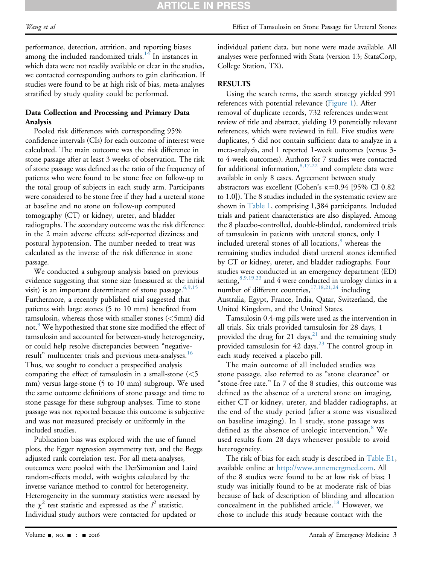# **RTICLE IN PRES**

performance, detection, attrition, and reporting biases among the included randomized trials.<sup>[14](#page-9-8)</sup> In instances in which data were not readily available or clear in the studies, we contacted corresponding authors to gain clarification. If studies were found to be at high risk of bias, meta-analyses stratified by study quality could be performed.

### Data Collection and Processing and Primary Data Analysis

Pooled risk differences with corresponding 95% confidence intervals (CIs) for each outcome of interest were calculated. The main outcome was the risk difference in stone passage after at least 3 weeks of observation. The risk of stone passage was defined as the ratio of the frequency of patients who were found to be stone free on follow-up to the total group of subjects in each study arm. Participants were considered to be stone free if they had a ureteral stone at baseline and no stone on follow-up computed tomography (CT) or kidney, ureter, and bladder radiographs. The secondary outcome was the risk difference in the 2 main adverse effects: self-reported dizziness and postural hypotension. The number needed to treat was calculated as the inverse of the risk difference in stone passage.

We conducted a subgroup analysis based on previous evidence suggesting that stone size (measured at the initial visit) is an important determinant of stone passage.  $6,9,15$ Furthermore, a recently published trial suggested that patients with large stones (5 to 10 mm) benefited from tamsulosin, whereas those with smaller stones (<5mm) did not.<sup>[9](#page-9-6)</sup> We hypothesized that stone size modified the effect of tamsulosin and accounted for between-study heterogeneity, or could help resolve discrepancies between "negative-result" multicenter trials and previous meta-analyses.<sup>[16](#page-9-9)</sup> Thus, we sought to conduct a prespecified analysis comparing the effect of tamsulosin in a small-stone  $(<5$ mm) versus large-stone (5 to 10 mm) subgroup. We used the same outcome definitions of stone passage and time to stone passage for these subgroup analyses. Time to stone passage was not reported because this outcome is subjective and was not measured precisely or uniformly in the included studies.

Publication bias was explored with the use of funnel plots, the Egger regression asymmetry test, and the Beggs adjusted rank correlation test. For all meta-analyses, outcomes were pooled with the DerSimonian and Laird random-effects model, with weights calculated by the inverse variance method to control for heterogeneity. Heterogeneity in the summary statistics were assessed by the  $\chi^2$  test statistic and expressed as the  $I^2$  statistic. Individual study authors were contacted for updated or

individual patient data, but none were made available. All analyses were performed with Stata (version 13; StataCorp, College Station, TX).

### **RESULTS**

Using the search terms, the search strategy yielded 991 references with potential relevance [\(Figure 1](#page-4-0)). After removal of duplicate records, 732 references underwent review of title and abstract, yielding 19 potentially relevant references, which were reviewed in full. Five studies were duplicates, 5 did not contain sufficient data to analyze in a meta-analysis, and 1 reported 1-week outcomes (versus 3 to 4-week outcomes). Authors for 7 studies were contacted for additional information,  $8,17-22$  and complete data were available in only 8 cases. Agreement between study abstractors was excellent (Cohen's  $\kappa$ =0.94 [95% CI 0.82 to 1.0]). The 8 studies included in the systematic review are shown in [Table 1](#page-5-0), comprising 1,384 participants. Included trials and patient characteristics are also displayed. Among the 8 placebo-controlled, double-blinded, randomized trials of tamsulosin in patients with ureteral stones, only 1 included ureteral stones of all locations,<sup>[8](#page-9-2)</sup> whereas the remaining studies included distal ureteral stones identified by CT or kidney, ureter, and bladder radiographs. Four studies were conducted in an emergency department (ED) setting,  $8,9,19,23$  and 4 were conducted in urology clinics in a number of different countries,[17,18,21,24](#page-9-10) including Australia, Egypt, France, India, Qatar, Switzerland, the United Kingdom, and the United States.

Tamsulosin 0.4-mg pills were used as the intervention in all trials. Six trials provided tamsulosin for 28 days, 1 provided the drug for [21](#page-9-11) days,<sup>21</sup> and the remaining study provided tamsulosin for  $42$  days.<sup>[23](#page-9-12)</sup> The control group in each study received a placebo pill.

The main outcome of all included studies was stone passage, also referred to as "stone clearance" or "stone-free rate." In 7 of the 8 studies, this outcome was defined as the absence of a ureteral stone on imaging, either CT or kidney, ureter, and bladder radiographs, at the end of the study period (after a stone was visualized on baseline imaging). In 1 study, stone passage was defined as the absence of urologic intervention.<sup>[8](#page-9-2)</sup> We used results from 28 days whenever possible to avoid heterogeneity.

The risk of bias for each study is described in [Table E1](#page-10-1), available online at [http://www.annemergmed.com.](http://www.annemergmed.com) All of the 8 studies were found to be at low risk of bias; 1 study was initially found to be at moderate risk of bias because of lack of description of blinding and allocation concealment in the published article.<sup>[18](#page-9-13)</sup> However, we chose to include this study because contact with the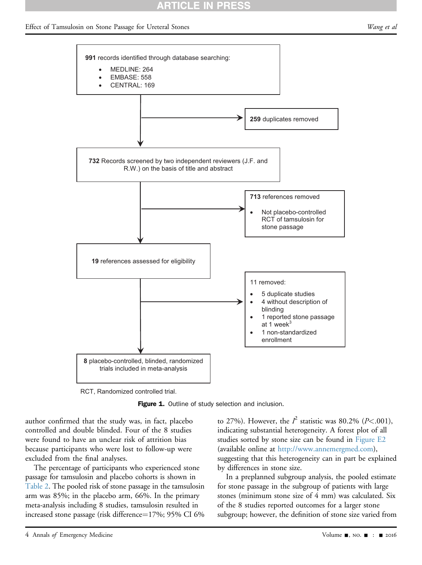# RTICLE IN PRES

#### <span id="page-4-0"></span>Effect of Tamsulosin on Stone Passage for Ureteral Stones Wang et al. Wang et al.



RCT, Randomized controlled trial.

Figure 1. Outline of study selection and inclusion.

author confirmed that the study was, in fact, placebo controlled and double blinded. Four of the 8 studies were found to have an unclear risk of attrition bias because participants who were lost to follow-up were excluded from the final analyses.

The percentage of participants who experienced stone passage for tamsulosin and placebo cohorts is shown in [Table 2](#page-5-1). The pooled risk of stone passage in the tamsulosin arm was 85%; in the placebo arm, 66%. In the primary meta-analysis including 8 studies, tamsulosin resulted in increased stone passage (risk difference=17%; 95% CI 6%

to 27%). However, the  $I^2$  statistic was 80.2% (P<.001), indicating substantial heterogeneity. A forest plot of all studies sorted by stone size can be found in [Figure E2](#page-11-0) (available online at <http://www.annemergmed.com>), suggesting that this heterogeneity can in part be explained by differences in stone size.

In a preplanned subgroup analysis, the pooled estimate for stone passage in the subgroup of patients with large stones (minimum stone size of 4 mm) was calculated. Six of the 8 studies reported outcomes for a larger stone subgroup; however, the definition of stone size varied from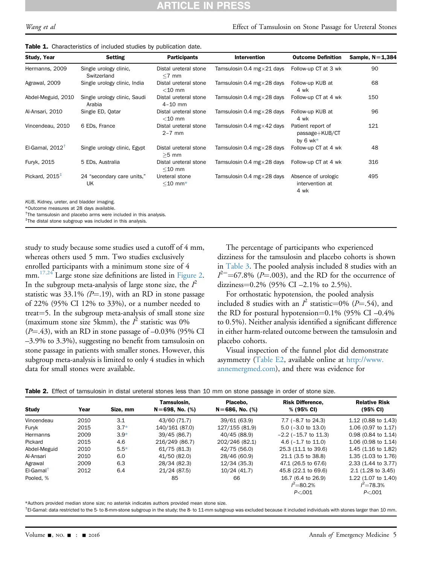# **CLE IN PRES**

| <b>Study, Year</b>         | <b>Setting</b>                                         | <b>Participants</b>                  | <b>Intervention</b>                | <b>Outcome Definition</b>                         | Sample, $N=1,384$ |
|----------------------------|--------------------------------------------------------|--------------------------------------|------------------------------------|---------------------------------------------------|-------------------|
| Hermanns, 2009             | Single urology clinic,<br>Switzerland                  | Distal ureteral stone<br>$<$ 7 mm    | Tamsulosin 0.4 mg $\times$ 21 days | Follow-up CT at 3 wk                              | 90                |
| Agrawal, 2009              | Single urology clinic, India                           | Distal ureteral stone<br>$<$ 10 mm   | Tamsulosin 0.4 mg $\times$ 28 days | Follow-up KUB at<br>4 wk                          | 68                |
| Abdel-Meguid, 2010         | Single urology clinic, Saudi<br>Arabia                 | Distal ureteral stone<br>$4 - 10$ mm | Tamsulosin 0.4 mg $\times$ 28 days | Follow-up CT at 4 wk                              | 150               |
| Al-Ansari, 2010            | Single ED, Qatar<br>Distal ureteral stone<br>$<$ 10 mm |                                      | Tamsulosin 0.4 mg $\times$ 28 days | Follow-up KUB at<br>4 wk                          | 96                |
| Vincendeau, 2010           | 6 EDs, France                                          | Distal ureteral stone<br>$2 - 7$ mm  | Tamsulosin 0.4 mg $\times$ 42 days | Patient report of<br>passage+KUB/CT<br>by $6$ wk* | 121               |
| El-Gamal, $2012^{\dagger}$ | Single urology clinic, Egypt                           | Distal ureteral stone<br>$>5$ mm     | Tamsulosin 0.4 mg $\times$ 28 days | Follow-up CT at 4 wk                              | 48                |
| Furyk, 2015                | 5 EDs, Australia                                       | Distal ureteral stone<br>$<$ 10 mm   | Tamsulosin 0.4 mg $\times$ 28 days | Follow-up CT at 4 wk                              | 316               |
| Pickard, $2015+$           | 24 "secondary care units,"<br>UK                       | Ureteral stone<br>$<$ 10 mm $*$      | Tamsulosin 0.4 mg $\times$ 28 days | Absence of urologic<br>intervention at<br>4 wk    | 495               |
| $\frac{1}{2}$              |                                                        |                                      |                                    |                                                   |                   |

<span id="page-5-0"></span>KUB, Kidney, ureter, and bladder imaging.

<span id="page-5-2"></span>\*Outcome measures at 28 days available.

<span id="page-5-3"></span><sup>†</sup>The tamsulosin and placebo arms were included in this analysis.

<span id="page-5-4"></span>‡ The distal stone subgroup was included in this analysis.

study to study because some studies used a cutoff of 4 mm, whereas others used 5 mm. Two studies exclusively enrolled participants with a minimum stone size of 4 mm.<sup>[17,24](#page-9-10)</sup> Large stone size definitions are listed in [Figure 2.](#page-6-0) In the subgroup meta-analysis of large stone size, the  $I^2$ statistic was 33.1% ( $P = .19$ ), with an RD in stone passage of 22% (95% CI 12% to 33%), or a number needed to treat=5. In the subgroup meta-analysis of small stone size (maximum stone size 5kmm), the  $I^2$  statistic was 0%  $(P=.43)$ , with an RD in stone passage of  $-0.03\%$  (95% CI –3.9% to 3.3%), suggesting no benefit from tamsulosin on stone passage in patients with smaller stones. However, this subgroup meta-analysis is limited to only 4 studies in which data for small stones were available.

The percentage of participants who experienced dizziness for the tamsulosin and placebo cohorts is shown in [Table 3.](#page-6-1) The pooled analysis included 8 studies with an  $I^2$  = 67.8% (*P*=.003), and the RD for the occurrence of dizziness= $0.2\%$  (95% CI –2.1% to 2.5%).

For orthostatic hypotension, the pooled analysis included 8 studies with an  $l^2$  statistic=0% (P=.54), and the RD for postural hypotension= $0.1\%$  (95% CI -0.4% to 0.5%). Neither analysis identified a significant difference in either harm-related outcome between the tamsulosin and placebo cohorts.

Visual inspection of the funnel plot did demonstrate asymmetry [\(Table E2,](#page-11-1) available online at [http://www.](http://www.annemergmed.com) [annemergmed.com\)](http://www.annemergmed.com), and there was evidence for

<span id="page-5-1"></span>

|  |  |  |  | Table 2. Effect of tamsulosin in distal ureteral stones less than 10 mm on stone passage in order of stone size. |  |  |  |  |  |  |  |
|--|--|--|--|------------------------------------------------------------------------------------------------------------------|--|--|--|--|--|--|--|
|--|--|--|--|------------------------------------------------------------------------------------------------------------------|--|--|--|--|--|--|--|

| <b>Study</b> | Year | Size, mm | Tamsulosin.<br>$N = 698$ , No. (%) | Placebo.<br>$N = 686$ , No. (%) | <b>Risk Difference.</b><br>% (95% CI) | <b>Relative Risk</b><br>$(95% \text{ CI})$ |
|--------------|------|----------|------------------------------------|---------------------------------|---------------------------------------|--------------------------------------------|
| Vincendeau   | 2010 | 3.1      | 43/60 (71.7)                       | 39/61 (63.9)                    | 7.7 $(-8.7 \text{ to } 24.3)$         | 1.12 (0.88 to 1.43)                        |
| Furvk        | 2015 | $3.7*$   | 140/161 (87.0)                     | 127/155 (81.9)                  | $5.0$ ( $-3.0$ to $13.0$ )            | 1.06 (0.97 to 1.17)                        |
| Hermanns     | 2009 | $3.9*$   | 39/45 (86.7)                       | 40/45 (88.9)                    | $-2.2$ ( $-15.7$ to 11.3)             | 0.98 (0.84 to 1.14)                        |
| Pickard      | 2015 | 4.6      | 216/249 (86.7)                     | 202/246 (82.1)                  | 4.6 $(-1.7 \text{ to } 11.0)$         | 1.06 (0.98 to 1.14)                        |
| Abdel-Meguid | 2010 | $5.5*$   | 61/75 (81.3)                       | 42/75 (56.0)                    | 25.3 (11.1 to 39.6)                   | 1.45 (1.16 to 1.82)                        |
| Al-Ansari    | 2010 | 6.0      | 41/50 (82.0)                       | 28/46 (60.9)                    | 21.1 (3.5 to 38.8)                    | 1.35 (1.03 to 1.76)                        |
| Agrawal      | 2009 | 6.3      | 28/34 (82.3)                       | 12/34 (35.3)                    | 47.1 (26.5 to 67.6)                   | 2.33 (1.44 to 3.77)                        |
| $El-Gamal†$  | 2012 | 6.4      | 21/24 (87.5)                       | 10/24 (41.7)                    | 45.8 (22.1 to 69.6)                   | $2.1(1.28 \text{ to } 3.45)$               |
| Pooled, %    |      |          | 85                                 | 66                              | 16.7 (6.4 to 26.9)<br>$I^2 = 80.2\%$  | 1.22 (1.07 to 1.40)<br>$I^2 = 78.3\%$      |
|              |      |          |                                    |                                 | P < 0.01                              | P < 001                                    |

<span id="page-5-5"></span>\*Authors provided median stone size; no asterisk indicates authors provided mean stone size.

<span id="page-5-6"></span>† El-Gamal: data restricted to the 5- to 8-mm-stone subgroup in the study; the 8- to 11-mm subgroup was excluded because it included individuals with stones larger than 10 mm.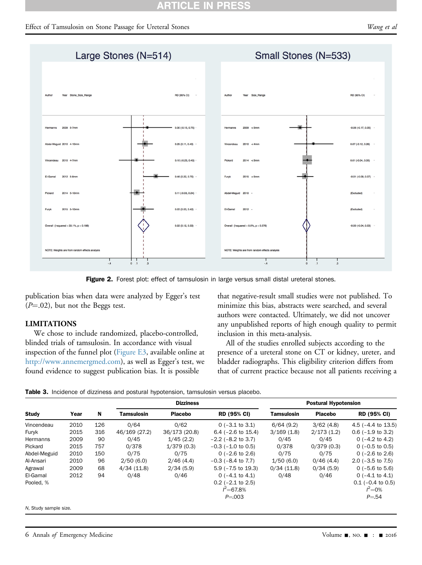<span id="page-6-0"></span>

Figure 2. Forest plot: effect of tamsulosin in large versus small distal ureteral stones.

publication bias when data were analyzed by Egger's test  $(P=.02)$ , but not the Beggs test.

### LIMITATIONS

We chose to include randomized, placebo-controlled, blinded trials of tamsulosin. In accordance with visual inspection of the funnel plot [\(Figure E3,](#page-12-0) available online at <http://www.annemergmed.com>), as well as Egger's test, we found evidence to suggest publication bias. It is possible

that negative-result small studies were not published. To minimize this bias, abstracts were searched, and several authors were contacted. Ultimately, we did not uncover any unpublished reports of high enough quality to permit inclusion in this meta-analysis.

All of the studies enrolled subjects according to the presence of a ureteral stone on CT or kidney, ureter, and bladder radiographs. This eligibility criterion differs from that of current practice because not all patients receiving a

Table 3. Incidence of dizziness and postural hypotension, tamsulosin versus placebo.

<span id="page-6-1"></span>

|                       |      |     |               | <b>Dizziness</b> |                         | <b>Postural Hypotension</b> |                |                               |  |
|-----------------------|------|-----|---------------|------------------|-------------------------|-----------------------------|----------------|-------------------------------|--|
| <b>Study</b>          | Year | N   | Tamsulosin    | <b>Placebo</b>   | RD (95% CI)             | <b>Tamsulosin</b>           | <b>Placebo</b> | <b>RD (95% CI)</b>            |  |
| Vincendeau            | 2010 | 126 | 0/64          | 0/62             | $0$ (-3.1 to 3.1)       | 6/64(9.2)                   | 3/62(4.8)      | 4.5 $(-4.4 \text{ to } 13.5)$ |  |
| Furyk                 | 2015 | 316 | 46/169 (27.2) | 36/173 (20.8)    | $6.4$ ( $-2.6$ to 15.4) | 3/169(1.8)                  | 2/173(1.2)     | $0.6$ ( $-1.9$ to 3.2)        |  |
| Hermanns              | 2009 | 90  | 0/45          | 1/45(2.2)        | $-2.2$ ( $-8.2$ to 3.7) | 0/45                        | 0/45           | 0 $(-4.2$ to 4.2)             |  |
| Pickard               | 2015 | 757 | 0/378         | 1/379(0.3)       | $-0.3$ ( $-1.0$ to 0.5) | 0/378                       | 0/379(0.3)     | $0$ (-0.5 to 0.5)             |  |
| Abdel-Meguid          | 2010 | 150 | 0/75          | 0/75             | $0$ (-2.6 to 2.6)       | 0/75                        | 0/75           | $0$ (-2.6 to 2.6)             |  |
| Al-Ansari             | 2010 | 96  | 2/50(6.0)     | 2/46(4.4)        | $-0.3$ ( $-8.4$ to 7.7) | 1/50(6.0)                   | 0/46(4.4)      | $2.0$ ( $-3.5$ to 7.5)        |  |
| Agrawal               | 2009 | 68  | 4/34(11.8)    | 2/34(5.9)        | $5.9$ ( $-7.5$ to 19.3) | 0/34(11.8)                  | 0/34(5.9)      | $0$ (-5.6 to 5.6)             |  |
| El-Gamal              | 2012 | 94  | 0/48          | 0/46             | $0$ (-4.1 to 4.1)       | 0/48                        | 0/46           | 0 $(-4.1 \text{ to } 4.1)$    |  |
| Pooled, %             |      |     |               |                  | $0.2$ (-2.1 to 2.5)     |                             |                | $0.1$ (-0.4 to 0.5)           |  |
|                       |      |     |               |                  | $I^2 = 67.8\%$          |                             |                | $I^2 = 0\%$                   |  |
|                       |      |     |               |                  | $P = 003$               |                             |                | $P = 54$                      |  |
| N, Study sample size. |      |     |               |                  |                         |                             |                |                               |  |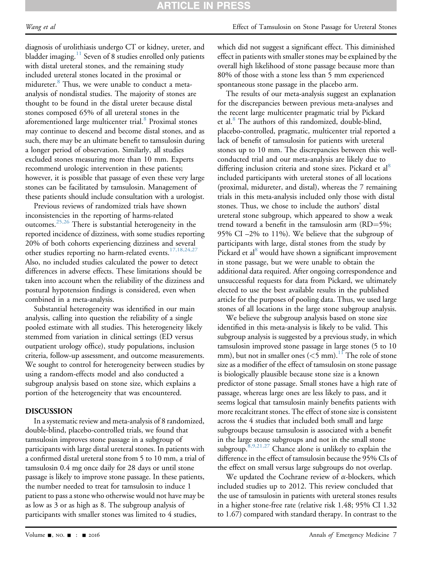Wang et al **Effect** of Tamsulosin on Stone Passage for Ureteral Stones

diagnosis of urolithiasis undergo CT or kidney, ureter, and bladder imaging.<sup>11</sup> Seven of 8 studies enrolled only patients with distal ureteral stones, and the remaining study included ureteral stones located in the proximal or midureter.<sup>8</sup> Thus, we were unable to conduct a metaanalysis of nondistal studies. The majority of stones are thought to be found in the distal ureter because distal stones composed 65% of all ureteral stones in the aforementioned large multicenter trial.<sup>[8](#page-9-2)</sup> Proximal stones may continue to descend and become distal stones, and as such, there may be an ultimate benefit to tamsulosin during a longer period of observation. Similarly, all studies excluded stones measuring more than 10 mm. Experts recommend urologic intervention in these patients; however, it is possible that passage of even these very large stones can be facilitated by tamsulosin. Management of these patients should include consultation with a urologist.

Previous reviews of randomized trials have shown inconsistencies in the reporting of harms-related outcomes.[25,26](#page-9-14) There is substantial heterogeneity in the reported incidence of dizziness, with some studies reporting 20% of both cohorts experiencing dizziness and several other studies reporting no harm-related events.<sup>[17,18,24,27](#page-9-10)</sup> Also, no included studies calculated the power to detect differences in adverse effects. These limitations should be taken into account when the reliability of the dizziness and postural hypotension findings is considered, even when combined in a meta-analysis.

Substantial heterogeneity was identified in our main analysis, calling into question the reliability of a single pooled estimate with all studies. This heterogeneity likely stemmed from variation in clinical settings (ED versus outpatient urology office), study populations, inclusion criteria, follow-up assessment, and outcome measurements. We sought to control for heterogeneity between studies by using a random-effects model and also conducted a subgroup analysis based on stone size, which explains a portion of the heterogeneity that was encountered.

### DISCUSSION

In a systematic review and meta-analysis of 8 randomized, double-blind, placebo-controlled trials, we found that tamsulosin improves stone passage in a subgroup of participants with large distal ureteral stones. In patients with a confirmed distal ureteral stone from 5 to 10 mm, a trial of tamsulosin 0.4 mg once daily for 28 days or until stone passage is likely to improve stone passage. In these patients, the number needed to treat for tamsulosin to induce 1 patient to pass a stone who otherwise would not have may be as low as 3 or as high as 8. The subgroup analysis of participants with smaller stones was limited to 4 studies,

which did not suggest a significant effect. This diminished effect in patients with smaller stones may be explained by the overall high likelihood of stone passage because more than 80% of those with a stone less than 5 mm experienced spontaneous stone passage in the placebo arm.

The results of our meta-analysis suggest an explanation for the discrepancies between previous meta-analyses and the recent large multicenter pragmatic trial by Pickard et al.<sup>[8](#page-9-2)</sup> The authors of this randomized, double-blind, placebo-controlled, pragmatic, multicenter trial reported a lack of benefit of tamsulosin for patients with ureteral stones up to 10 mm. The discrepancies between this wellconducted trial and our meta-analysis are likely due to differing inclusion criteria and stone sizes. Pickard et al<sup>[8](#page-9-2)</sup> included participants with ureteral stones of all locations (proximal, midureter, and distal), whereas the 7 remaining trials in this meta-analysis included only those with distal stones. Thus, we chose to include the authors' distal ureteral stone subgroup, which appeared to show a weak trend toward a benefit in the tamsulosin arm  $(RD=5\%;$ 95% CI –2% to 11%). We believe that the subgroup of participants with large, distal stones from the study by Pickard et al<sup>[8](#page-9-2)</sup> would have shown a significant improvement in stone passage, but we were unable to obtain the additional data required. After ongoing correspondence and unsuccessful requests for data from Pickard, we ultimately elected to use the best available results in the published article for the purposes of pooling data. Thus, we used large stones of all locations in the large stone subgroup analysis.

We believe the subgroup analysis based on stone size identified in this meta-analysis is likely to be valid. This subgroup analysis is suggested by a previous study, in which tamsulosin improved stone passage in large stones (5 to 10 mm), but not in smaller ones  $(<5$  mm).<sup>11</sup> The role of stone size as a modifier of the effect of tamsulosin on stone passage is biologically plausible because stone size is a known predictor of stone passage. Small stones have a high rate of passage, whereas large ones are less likely to pass, and it seems logical that tamsulosin mainly benefits patients with more recalcitrant stones. The effect of stone size is consistent across the 4 studies that included both small and large subgroups because tamsulosin is associated with a benefit in the large stone subgroups and not in the small stone subgroup[.8,9,21,27](#page-9-2) Chance alone is unlikely to explain the difference in the effect of tamsulosin because the 95% CIs of the effect on small versus large subgroups do not overlap.

We updated the Cochrane review of  $\alpha$ -blockers, which included studies up to 2012. This review concluded that the use of tamsulosin in patients with ureteral stones results in a higher stone-free rate (relative risk 1.48; 95% CI 1.32 to 1.67) compared with standard therapy. In contrast to the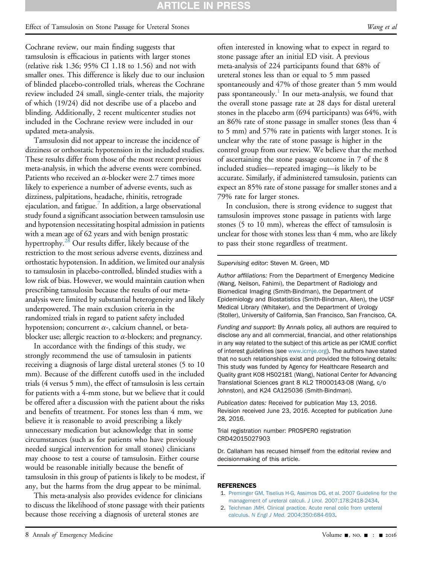### Effect of Tamsulosin on Stone Passage for Ureteral Stones Wang et al. Wang et al.

Cochrane review, our main finding suggests that tamsulosin is efficacious in patients with larger stones (relative risk 1.36; 95% CI 1.18 to 1.56) and not with smaller ones. This difference is likely due to our inclusion of blinded placebo-controlled trials, whereas the Cochrane review included 24 small, single-center trials, the majority of which (19/24) did not describe use of a placebo and blinding. Additionally, 2 recent multicenter studies not included in the Cochrane review were included in our updated meta-analysis.

Tamsulosin did not appear to increase the incidence of dizziness or orthostatic hypotension in the included studies. These results differ from those of the most recent previous meta-analysis, in which the adverse events were combined. Patients who received an  $\alpha$ -blocker were 2.7 times more likely to experience a number of adverse events, such as dizziness, palpitations, headache, rhinitis, retrograde ejaculation, and fatigue.<sup>[7](#page-9-1)</sup> In addition, a large observational study found a significant association between tamsulosin use and hypotension necessitating hospital admission in patients with a mean age of 62 years and with benign prostatic hypertrophy.<sup>28</sup> Our results differ, likely because of the restriction to the most serious adverse events, dizziness and orthostatic hypotension. In addition, we limited our analysis to tamsulosin in placebo-controlled, blinded studies with a low risk of bias. However, we would maintain caution when prescribing tamsulosin because the results of our metaanalysis were limited by substantial heterogeneity and likely underpowered. The main exclusion criteria in the randomized trials in regard to patient safety included hypotension; concurrent  $\alpha$ -, calcium channel, or betablocker use; allergic reaction to  $\alpha$ -blockers; and pregnancy.

In accordance with the findings of this study, we strongly recommend the use of tamsulosin in patients receiving a diagnosis of large distal ureteral stones (5 to 10 mm). Because of the different cutoffs used in the included trials (4 versus 5 mm), the effect of tamsulosin is less certain for patients with a 4-mm stone, but we believe that it could be offered after a discussion with the patient about the risks and benefits of treatment. For stones less than 4 mm, we believe it is reasonable to avoid prescribing a likely unnecessary medication but acknowledge that in some circumstances (such as for patients who have previously needed surgical intervention for small stones) clinicians may choose to test a course of tamsulosin. Either course would be reasonable initially because the benefit of tamsulosin in this group of patients is likely to be modest, if any, but the harms from the drug appear to be minimal.

This meta-analysis also provides evidence for clinicians to discuss the likelihood of stone passage with their patients because those receiving a diagnosis of ureteral stones are

often interested in knowing what to expect in regard to stone passage after an initial ED visit. A previous meta-analysis of 224 participants found that 68% of ureteral stones less than or equal to 5 mm passed spontaneously and 47% of those greater than 5 mm would pass spontaneously.<sup>1</sup> In our meta-analysis, we found that the overall stone passage rate at 28 days for distal ureteral stones in the placebo arm (694 participants) was 64%, with an 86% rate of stone passage in smaller stones (less than 4 to 5 mm) and 57% rate in patients with larger stones. It is unclear why the rate of stone passage is higher in the control group from our review. We believe that the method of ascertaining the stone passage outcome in 7 of the 8 included studies—repeated imaging—is likely to be accurate. Similarly, if administered tamsulosin, patients can expect an 85% rate of stone passage for smaller stones and a 79% rate for larger stones.

In conclusion, there is strong evidence to suggest that tamsulosin improves stone passage in patients with large stones (5 to 10 mm), whereas the effect of tamsulosin is unclear for those with stones less than 4 mm, who are likely to pass their stone regardless of treatment.

#### Supervising editor: Steven M. Green, MD

Author affiliations: From the Department of Emergency Medicine (Wang, Neilson, Fahimi), the Department of Radiology and Biomedical Imaging (Smith-Bindman), the Department of Epidemiology and Biostatistics (Smith-Bindman, Allen), the UCSF Medical Library (Whitaker), and the Department of Urology (Stoller), University of California, San Francisco, San Francisco, CA.

Funding and support: By Annals policy, all authors are required to disclose any and all commercial, financial, and other relationships in any way related to the subject of this article as per ICMJE conflict of interest guidelines (see [www.icmje.org](http://www.icmje.org/)). The authors have stated that no such relationships exist and provided the following details: This study was funded by Agency for Healthcare Research and Quality grant K08 HS02181 (Wang), National Center for Advancing Translational Sciences grant 8 KL2 TR000143-08 (Wang, c/o Johnston), and K24 CA125036 (Smith-Bindman).

Publication dates: Received for publication May 13, 2016. Revision received June 23, 2016. Accepted for publication June 28, 2016.

#### Trial registration number: PROSPERO registration CRD42015027903

Dr. Callaham has recused himself from the editorial review and decisionmaking of this article.

#### <span id="page-8-0"></span>REFERENCES

- 1. [Preminger GM, Tiselius H-G, Assimos DG, et al. 2007 Guideline for the](http://refhub.elsevier.com/S0196-0644(16)30364-X/sref1) [management of ureteral calculi.](http://refhub.elsevier.com/S0196-0644(16)30364-X/sref1) J Urol. 2007;178:2418-2434.
- 2. [Teichman JMH. Clinical practice. Acute renal colic from ureteral](http://refhub.elsevier.com/S0196-0644(16)30364-X/sref2) calculus. N Engl J Med[. 2004;350:684-693.](http://refhub.elsevier.com/S0196-0644(16)30364-X/sref2)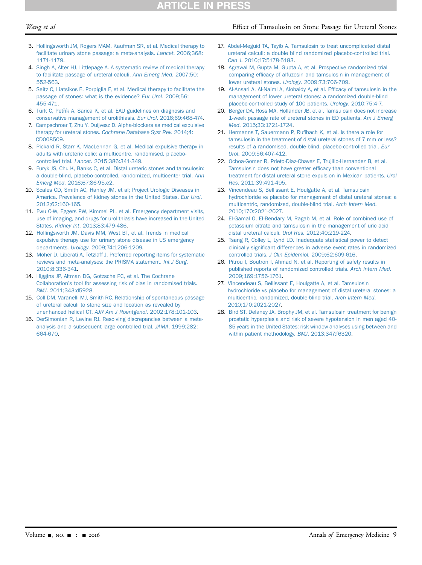# **TICLE IN PRES**

#### Wang et al **Effect** of Tamsulosin on Stone Passage for Ureteral Stones

- <span id="page-9-0"></span>3. [Hollingsworth JM, Rogers MAM, Kaufman SR, et al. Medical therapy to](http://refhub.elsevier.com/S0196-0644(16)30364-X/sref3) [facilitate urinary stone passage: a meta-analysis.](http://refhub.elsevier.com/S0196-0644(16)30364-X/sref3) Lancet. 2006;368: [1171-1179.](http://refhub.elsevier.com/S0196-0644(16)30364-X/sref3)
- 4. [Singh A, Alter HJ, Littlepage A. A systematic review of medical therapy](http://refhub.elsevier.com/S0196-0644(16)30364-X/sref4) [to facilitate passage of ureteral calculi.](http://refhub.elsevier.com/S0196-0644(16)30364-X/sref4) Ann Emerg Med. 2007;50: [552-563](http://refhub.elsevier.com/S0196-0644(16)30364-X/sref4).
- 5. [Seitz C, Liatsikos E, Porpiglia F, et al. Medical therapy to facilitate the](http://refhub.elsevier.com/S0196-0644(16)30364-X/sref5) [passage of stones: what is the evidence?](http://refhub.elsevier.com/S0196-0644(16)30364-X/sref5) Eur Urol. 2009;56: [455-471.](http://refhub.elsevier.com/S0196-0644(16)30364-X/sref5)
- <span id="page-9-5"></span>6. [Türk C, Pet](http://refhub.elsevier.com/S0196-0644(16)30364-X/sref6)řík A, Sarica K, et al. EAU guidelines on diagnosis and [conservative management of urolithiasis.](http://refhub.elsevier.com/S0196-0644(16)30364-X/sref6) Eur Urol. 2016;69:468-474.
- <span id="page-9-1"></span>7. [Campschroer T, Zhu Y, Duijvesz D. Alpha-blockers as medical expulsive](http://refhub.elsevier.com/S0196-0644(16)30364-X/sref7) therapy for ureteral stones. [Cochrane Database Syst Rev](http://refhub.elsevier.com/S0196-0644(16)30364-X/sref7). 2014;4: [CD008509](http://refhub.elsevier.com/S0196-0644(16)30364-X/sref7).
- <span id="page-9-2"></span>8. [Pickard R, Starr K, MacLennan G, et al. Medical expulsive therapy in](http://refhub.elsevier.com/S0196-0644(16)30364-X/sref8) [adults with ureteric colic: a multicentre, randomised, placebo](http://refhub.elsevier.com/S0196-0644(16)30364-X/sref8)controlled trial. Lancet[. 2015;386:341-349.](http://refhub.elsevier.com/S0196-0644(16)30364-X/sref8)
- <span id="page-9-6"></span>9. [Furyk JS, Chu K, Banks C, et al. Distal ureteric stones and tamsulosin:](http://refhub.elsevier.com/S0196-0644(16)30364-X/sref9) [a double-blind, placebo-controlled, randomized, multicenter trial.](http://refhub.elsevier.com/S0196-0644(16)30364-X/sref9) Ann Emerg Med[. 2016;67:86-95.e2.](http://refhub.elsevier.com/S0196-0644(16)30364-X/sref9)
- <span id="page-9-3"></span>10. [Scales CD, Smith AC, Hanley JM, et al; Project Urologic Diseases in](http://refhub.elsevier.com/S0196-0644(16)30364-X/sref10) [America. Prevalence of kidney stones in the United States.](http://refhub.elsevier.com/S0196-0644(16)30364-X/sref10) Eur Urol. [2012;62:160-165](http://refhub.elsevier.com/S0196-0644(16)30364-X/sref10).
- <span id="page-9-4"></span>11. [Fwu C-W, Eggers PW, Kimmel PL, et al. Emergency department visits,](http://refhub.elsevier.com/S0196-0644(16)30364-X/sref11) [use of imaging, and drugs for urolithiasis have increased in the United](http://refhub.elsevier.com/S0196-0644(16)30364-X/sref11) States. Kidney Int[. 2013;83:479-486](http://refhub.elsevier.com/S0196-0644(16)30364-X/sref11).
- 12. [Hollingsworth JM, Davis MM, West BT, et al. Trends in medical](http://refhub.elsevier.com/S0196-0644(16)30364-X/sref12) [expulsive therapy use for urinary stone disease in US emergency](http://refhub.elsevier.com/S0196-0644(16)30364-X/sref12) departments. Urology[. 2009;74:1206-1209](http://refhub.elsevier.com/S0196-0644(16)30364-X/sref12).
- <span id="page-9-7"></span>13. [Moher D, Liberati A, Tetzlaff J. Preferred reporting items for systematic](http://refhub.elsevier.com/S0196-0644(16)30364-X/sref13) [reviews and meta-analyses: the PRISMA statement.](http://refhub.elsevier.com/S0196-0644(16)30364-X/sref13) Int J Surg. [2010;8:336-341.](http://refhub.elsevier.com/S0196-0644(16)30364-X/sref13)
- <span id="page-9-8"></span>14. [Higgins JP, Altman DG, Gotzsche PC, et al. The Cochrane](http://refhub.elsevier.com/S0196-0644(16)30364-X/sref14) Collaboration'[s tool for assessing risk of bias in randomised trials.](http://refhub.elsevier.com/S0196-0644(16)30364-X/sref14) BMJ[. 2011;343:d5928](http://refhub.elsevier.com/S0196-0644(16)30364-X/sref14).
- 15. [Coll DM, Varanelli MJ, Smith RC. Relationship of spontaneous passage](http://refhub.elsevier.com/S0196-0644(16)30364-X/sref15) [of ureteral calculi to stone size and location as revealed by](http://refhub.elsevier.com/S0196-0644(16)30364-X/sref15) [unenhanced helical CT.](http://refhub.elsevier.com/S0196-0644(16)30364-X/sref15) AJR Am J Roentgenol. 2002;178:101-103.
- <span id="page-9-9"></span>16. [DerSimonian R, Levine RJ. Resolving discrepancies between a meta](http://refhub.elsevier.com/S0196-0644(16)30364-X/sref16)[analysis and a subsequent large controlled trial.](http://refhub.elsevier.com/S0196-0644(16)30364-X/sref16) JAMA. 1999;282: [664-670](http://refhub.elsevier.com/S0196-0644(16)30364-X/sref16).
- <span id="page-9-10"></span>17. [Abdel-Meguid TA, Tayib A. Tamsulosin to treat uncomplicated distal](http://refhub.elsevier.com/S0196-0644(16)30364-X/sref17) [ureteral calculi: a double blind randomized placebo-controlled trial.](http://refhub.elsevier.com/S0196-0644(16)30364-X/sref17) Can J[. 2010;17:5178-5183](http://refhub.elsevier.com/S0196-0644(16)30364-X/sref17).
- <span id="page-9-13"></span>18. [Agrawal M, Gupta M, Gupta A, et al. Prospective randomized trial](http://refhub.elsevier.com/S0196-0644(16)30364-X/sref18) comparing effi[cacy of alfuzosin and tamsulosin in management of](http://refhub.elsevier.com/S0196-0644(16)30364-X/sref18) [lower ureteral stones.](http://refhub.elsevier.com/S0196-0644(16)30364-X/sref18) Urology. 2009;73:706-709.
- 19. [Al-Ansari A, Al-Naimi A, Alobaidy A, et al. Ef](http://refhub.elsevier.com/S0196-0644(16)30364-X/sref19)ficacy of tamsulosin in the [management of lower ureteral stones: a randomized double-blind](http://refhub.elsevier.com/S0196-0644(16)30364-X/sref19) [placebo-controlled study of 100 patients.](http://refhub.elsevier.com/S0196-0644(16)30364-X/sref19) Urology. 2010;75:4-7.
- 20. [Berger DA, Ross MA, Hollander JB, et al. Tamsulosin does not increase](http://refhub.elsevier.com/S0196-0644(16)30364-X/sref20) [1-week passage rate of ureteral stones in ED patients.](http://refhub.elsevier.com/S0196-0644(16)30364-X/sref20) Am J Emerg Med[. 2015;33:1721-1724.](http://refhub.elsevier.com/S0196-0644(16)30364-X/sref20)
- <span id="page-9-11"></span>21. Hermanns T, Sauermann P, Rufi[bach K, et al. Is there a role for](http://refhub.elsevier.com/S0196-0644(16)30364-X/sref21) [tamsulosin in the treatment of distal ureteral stones of 7 mm or less?](http://refhub.elsevier.com/S0196-0644(16)30364-X/sref21) [results of a randomised, double-blind, placebo-controlled trial.](http://refhub.elsevier.com/S0196-0644(16)30364-X/sref21) Eur Urol[. 2009;56:407-412.](http://refhub.elsevier.com/S0196-0644(16)30364-X/sref21)
- 22. [Ochoa-Gomez R, Prieto-Diaz-Chavez E, Trujillo-Hernandez B, et al.](http://refhub.elsevier.com/S0196-0644(16)30364-X/sref22) [Tamsulosin does not have greater ef](http://refhub.elsevier.com/S0196-0644(16)30364-X/sref22)ficacy than conventional [treatment for distal ureteral stone expulsion in Mexican patients.](http://refhub.elsevier.com/S0196-0644(16)30364-X/sref22) Urol Res[. 2011;39:491-495](http://refhub.elsevier.com/S0196-0644(16)30364-X/sref22).
- <span id="page-9-12"></span>23. [Vincendeau S, Bellissant E, Houlgatte A, et al. Tamsulosin](http://refhub.elsevier.com/S0196-0644(16)30364-X/sref23) [hydrochloride vs placebo for management of distal ureteral stones: a](http://refhub.elsevier.com/S0196-0644(16)30364-X/sref23) [multicentric, randomized, double-blind trial.](http://refhub.elsevier.com/S0196-0644(16)30364-X/sref23) Arch Intern Med. [2010;170:2021-2027.](http://refhub.elsevier.com/S0196-0644(16)30364-X/sref23)
- 24. [El-Gamal O, El-Bendary M, Ragab M, et al. Role of combined use of](http://refhub.elsevier.com/S0196-0644(16)30364-X/sref24) [potassium citrate and tamsulosin in the management of uric acid](http://refhub.elsevier.com/S0196-0644(16)30364-X/sref24) [distal ureteral calculi.](http://refhub.elsevier.com/S0196-0644(16)30364-X/sref24) Urol Res. 2012;40:219-224.
- <span id="page-9-14"></span>25. [Tsang R, Colley L, Lynd LD. Inadequate statistical power to detect](http://refhub.elsevier.com/S0196-0644(16)30364-X/sref25) clinically signifi[cant differences in adverse event rates in randomized](http://refhub.elsevier.com/S0196-0644(16)30364-X/sref25) controlled trials. J Clin Epidemiol[. 2009;62:609-616.](http://refhub.elsevier.com/S0196-0644(16)30364-X/sref25)
- 26. [Pitrou I, Boutron I, Ahmad N, et al. Reporting of safety results in](http://refhub.elsevier.com/S0196-0644(16)30364-X/sref26) [published reports of randomized controlled trials.](http://refhub.elsevier.com/S0196-0644(16)30364-X/sref26) Arch Intern Med. [2009;169:1756-1761.](http://refhub.elsevier.com/S0196-0644(16)30364-X/sref26)
- 27. [Vincendeau S, Bellissant E, Houlgatte A, et al. Tamsulosin](http://refhub.elsevier.com/S0196-0644(16)30364-X/sref27) [hydrochloride vs placebo for management of distal ureteral stones: a](http://refhub.elsevier.com/S0196-0644(16)30364-X/sref27) [multicentric, randomized, double-blind trial.](http://refhub.elsevier.com/S0196-0644(16)30364-X/sref27) Arch Intern Med. [2010;170:2021-2027.](http://refhub.elsevier.com/S0196-0644(16)30364-X/sref27)
- <span id="page-9-15"></span>28. [Bird ST, Delaney JA, Brophy JM, et al. Tamsulosin treatment for benign](http://refhub.elsevier.com/S0196-0644(16)30364-X/sref28) [prostatic hyperplasia and risk of severe hypotension in men aged 40-](http://refhub.elsevier.com/S0196-0644(16)30364-X/sref28) [85 years in the United States: risk window analyses using between and](http://refhub.elsevier.com/S0196-0644(16)30364-X/sref28) [within patient methodology.](http://refhub.elsevier.com/S0196-0644(16)30364-X/sref28) BMJ. 2013;347:f6320.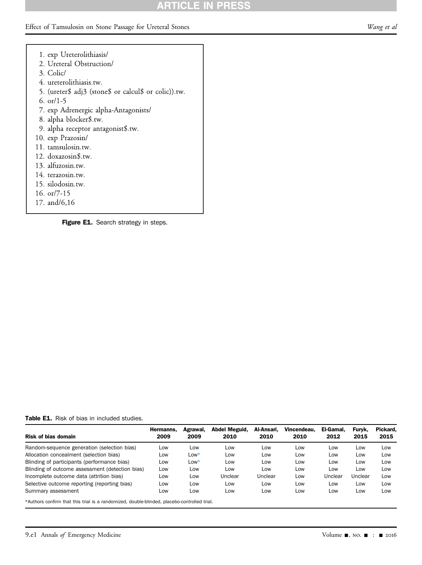# **ARTICLE IN PRE**

### <span id="page-10-0"></span>Effect of Tamsulosin on Stone Passage for Ureteral Stones Wang et al

- 1. exp Ureterolithiasis/ 2. Ureteral Obstruction/ 3. Colic/ 4. ureterolithiasis.tw. 5. (ureter\$ adj3 (stone\$ or calcul\$ or colic)).tw. 6. or/1-5 7. exp Adrenergic alpha-Antagonists/ 8. alpha blocker\$.tw. 9. alpha receptor antagonist\$.tw. 10. exp Prazosin/ 11. tamsulosin.tw.
- 12. doxazosin\$.tw.
- 13. alfuzosin.tw.
- 14. terazosin.tw.
- 15. silodosin.tw.
- 16. or/7-15
- 17. and/6,16

Figure E1. Search strategy in steps.

<span id="page-10-1"></span>Table E1. Risk of bias in included studies.

| <b>Risk of bias domain</b>                                                                    | Hermanns.<br>2009 | Agrawal,<br>2009 | Abdel Meguid.<br>2010 | Al-Ansari.<br>2010 | Vincendeau.<br>2010 | El-Gamal.<br>2012 | Furvk.<br>2015 | Pickard.<br>2015 |
|-----------------------------------------------------------------------------------------------|-------------------|------------------|-----------------------|--------------------|---------------------|-------------------|----------------|------------------|
| Random-sequence generation (selection bias)                                                   | Low               | Low              | Low                   | Low                | Low                 | Low               | Low            | Low              |
| Allocation concealment (selection bias)                                                       | Low               | $Low*$           | Low                   | Low                | Low                 | Low               | Low            | Low              |
| Blinding of participants (performance bias)                                                   | Low               | $Low*$           | Low                   | Low                | Low                 | Low               | Low            | Low              |
| Blinding of outcome assessment (detection bias)                                               | Low               | Low              | Low                   | Low                | Low                 | Low               | Low            | Low              |
| Incomplete outcome data (attrition bias)                                                      | Low               | Low              | Unclear               | Unclear            | Low                 | Unclear           | Unclear        | Low              |
| Selective outcome reporting (reporting bias)                                                  | Low               | Low              | Low                   | Low                | Low                 | Low               | Low            | Low              |
| Summary assessment                                                                            | Low               | Low              | Low                   | Low                | Low                 | Low               | Low            | Low              |
| $*h$ uthara canfirm that thio trial is a randomized, double blinded, placebe contralled trial |                   |                  |                       |                    |                     |                   |                |                  |

<span id="page-10-2"></span>\*Authors confirm that this trial is a randomized, double-blinded, placebo-controlled trial.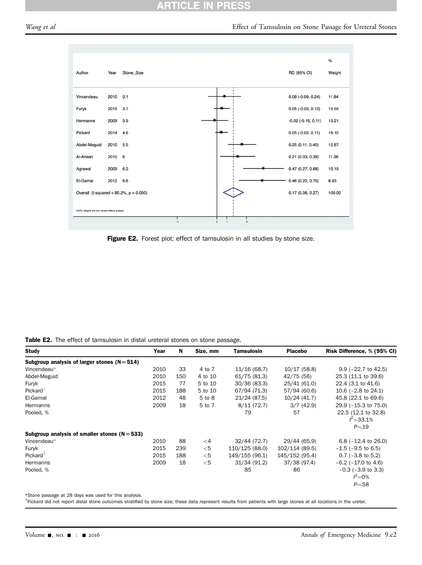### **ARTICLE IN PRES**

### <span id="page-11-0"></span>Wang et al **Effect** of Tamsulosin on Stone Passage for Ureteral Stones



Figure E2. Forest plot: effect of tamsulosin in all studies by stone size.

<span id="page-11-1"></span>Table E2. The effect of tamsulosin in distal ureteral stones on stone passage.

|      | 33   | 4 to 7   | 11/16(68.7)    | 10/17(58.8)    | $9.9$ ( $-22.7$ to 42.5)       |
|------|------|----------|----------------|----------------|--------------------------------|
| 2010 | 150  | 4 to 10  | 61/75(81.3)    | 42/75 (56)     | 25.3 (11.1 to 39.6)            |
| 2015 | 77   | 5 to 10  | 30/36 (83.3)   | 25/41 (61.0)   | 22.4 (3.1 to 41.6)             |
| 2015 | 188  | 5 to 10  | 67/94 (71.3)   | 57/94 (60.6)   | 10.6 $(-2.8 \text{ to } 24.1)$ |
| 2012 | 48   | 5 to 8   | 21/24 (87.5)   | 10/24(41.7)    | 45.8 (22.1 to 69.6)            |
| 2009 | 18   | 5 to 7   | 8/11(72.7)     | 3/7(42.9)      | 29.9 (-15.3 to 75.0)           |
|      |      |          | 79             | 57             | 22.5 (12.1 to 32.8)            |
|      |      |          |                |                | $I^2 = 33.1\%$                 |
|      |      |          |                |                | $P = 19$                       |
|      |      |          |                |                |                                |
| 2010 | 88   | $\leq$ 4 | 32/44 (72.7)   | 29/44 (65.9)   | 6.8 $(-12.4 \text{ to } 26.0)$ |
| 2015 | 239  | $<$ 5    | 110/125 (88.0) | 102/114 (89.5) | $-1.5$ ( $-9.5$ to 6.5)        |
| 2015 | 188  | $<$ 5    | 149/155 (96.1) | 145/152 (95.4) | $0.7$ ( $-3.8$ to 5.2)         |
| 2009 | 18   | $<$ 5    | 31/34 (91.2)   | 37/38 (97.4)   | $-6.2$ ( $-17.0$ to 4.6)       |
|      |      |          | 85             | 86             | $-0.3$ ( $-3.9$ to 3.3)        |
|      |      |          |                |                | $I^2 = 0\%$                    |
|      |      |          |                |                | $P = 58$                       |
|      | 2010 |          |                |                |                                |

<span id="page-11-2"></span>\*Stone passage at 28 days was used for this analysis.

<span id="page-11-3"></span><sup>†</sup>Pickard did not report distal stone outcomes stratified by stone size; these data represent results from patients with large stones at all locations in the ureter.